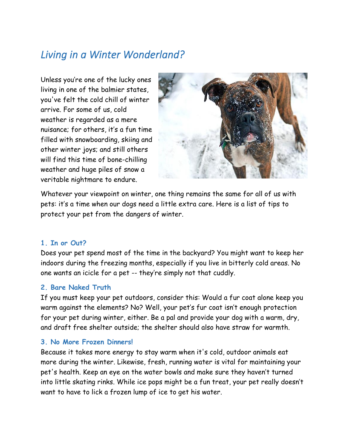# *Living in a Winter Wonderland?*

Unless you're one of the lucky ones living in one of the balmier states, you've felt the cold chill of winter arrive. For some of us, cold weather is regarded as a mere nuisance; for others, it's a fun time filled with snowboarding, skiing and other winter joys; and still others will find this time of bone-chilling weather and huge piles of snow a veritable nightmare to endure.



Whatever your viewpoint on winter, one thing remains the same for all of us with pets: it's a time when our dogs need a little extra care. Here is a list of tips to protect your pet from the dangers of winter.

#### **1. In or Out?**

Does your pet spend most of the time in the backyard? You might want to keep her indoors during the freezing months, especially if you live in bitterly cold areas. No one wants an icicle for a pet -- they're simply not that cuddly.

#### **2. Bare Naked Truth**

If you must keep your pet outdoors, consider this: Would a fur coat alone keep you warm against the elements? No? Well, your pet's fur coat isn't enough protection for your pet during winter, either. Be a pal and provide your dog with a warm, dry, and draft free shelter outside; the shelter should also have straw for warmth.

#### **3. No More Frozen Dinners!**

Because it takes more energy to stay warm when it's cold, outdoor animals eat more during the winter. Likewise, fresh, running water is vital for maintaining your pet's health. Keep an eye on the water bowls and make sure they haven't turned into little skating rinks. While ice pops might be a fun treat, your pet really doesn't want to have to lick a frozen lump of ice to get his water.